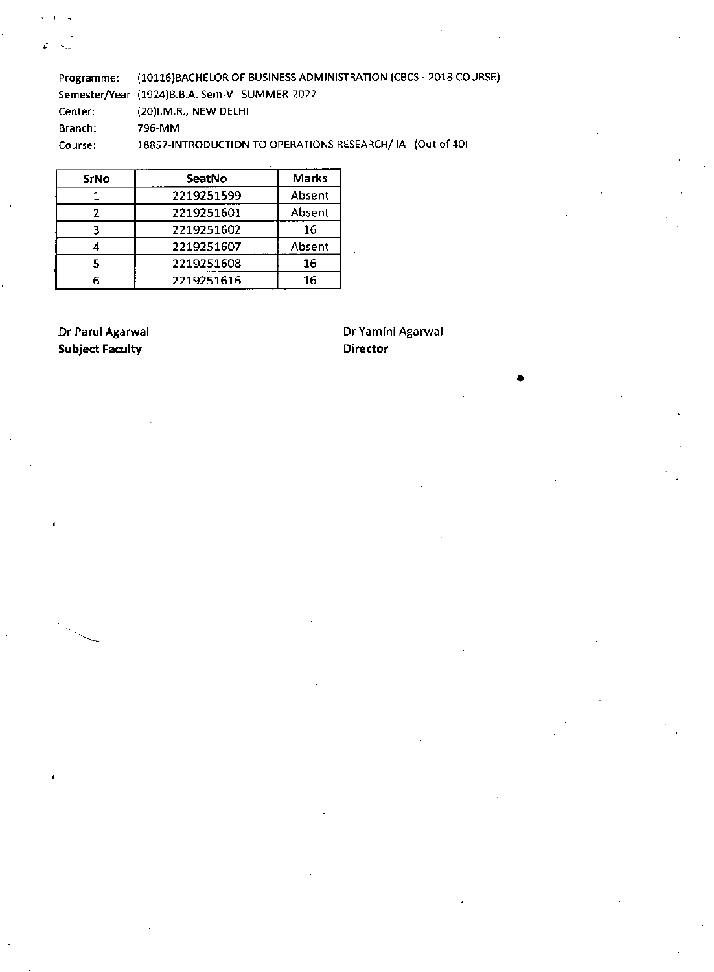Programme: (10116)BACHELOR OF BUSINESS ADMINISTRATION (CBCS -2018 COURSE) Semester/Year (1924)B.B.A. Sem-V SUMMER-2022 Center: (20)I.M.R., NEW DELHI Branch: 796-MM Course: 18857-INTRODUCTION TO OPERATIONS RESEARCH/ IA (Out of 40)

| <b>SrNo</b> | SeatNo     | <b>Marks</b> |
|-------------|------------|--------------|
|             | 2219251599 | Absent       |
|             | 2219251601 | Absent       |
|             | 2219251602 | 16           |
|             | 2219251607 | Absent       |
|             | 2219251608 | 16           |
|             | 2219251616 | 16           |

**Subject Faculty Contract Contract Contract Contract Contract Contract Contract Contract Contract Contract Contract Contract Contract Contract Contract Contract Contract Contract Contract Contract Contract Contract Contrac** 

t.

Dr Parul Agarwal Dr Yamini Agarwal

•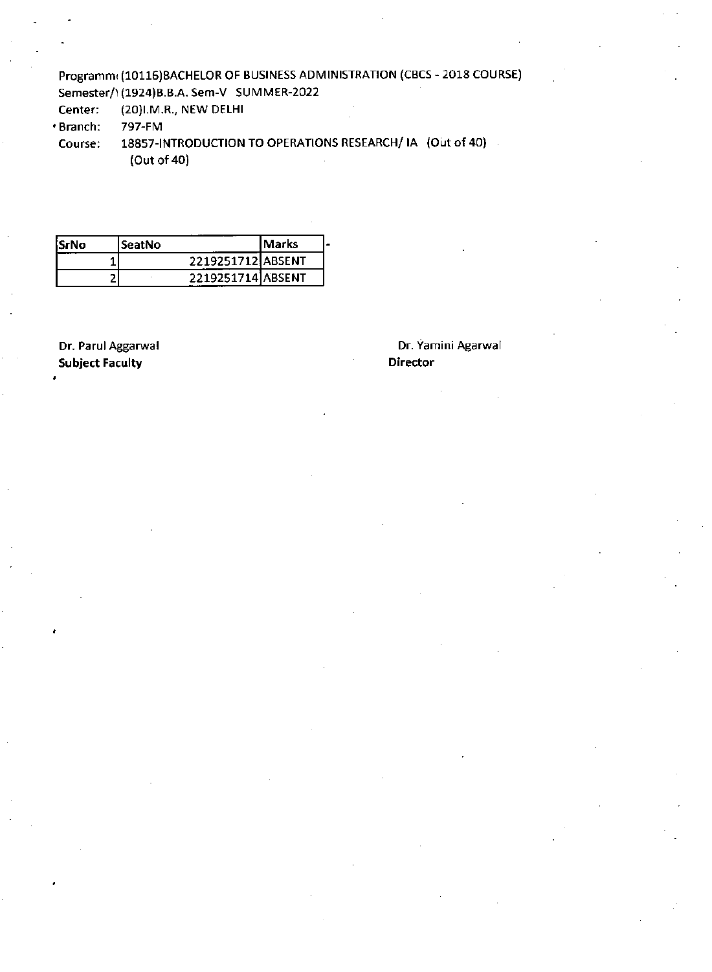### Programm(10116)BACHELOR OF BUSINESS ADMINISTRATION (CBCS - 2018 COURSE) Semester/ \ (1924)B.B.A. Sem-V SUMMER-2022

Center: (20)I.M.R., NEW DELHI

Branch: 797-FM

Course: 18857-INTRODUCTION TO OPERATIONS RESEARCH/IA (Out of 40) (Out of 40)

| SrNo: | SeatNo |                   | lMarks |  |
|-------|--------|-------------------|--------|--|
|       |        | 2219251712 ABSENT |        |  |
|       |        | 2219251714 ABSENT |        |  |

Dr. Parul Aggarwal Subject Faculty

Dr. Yamini Agarwal Director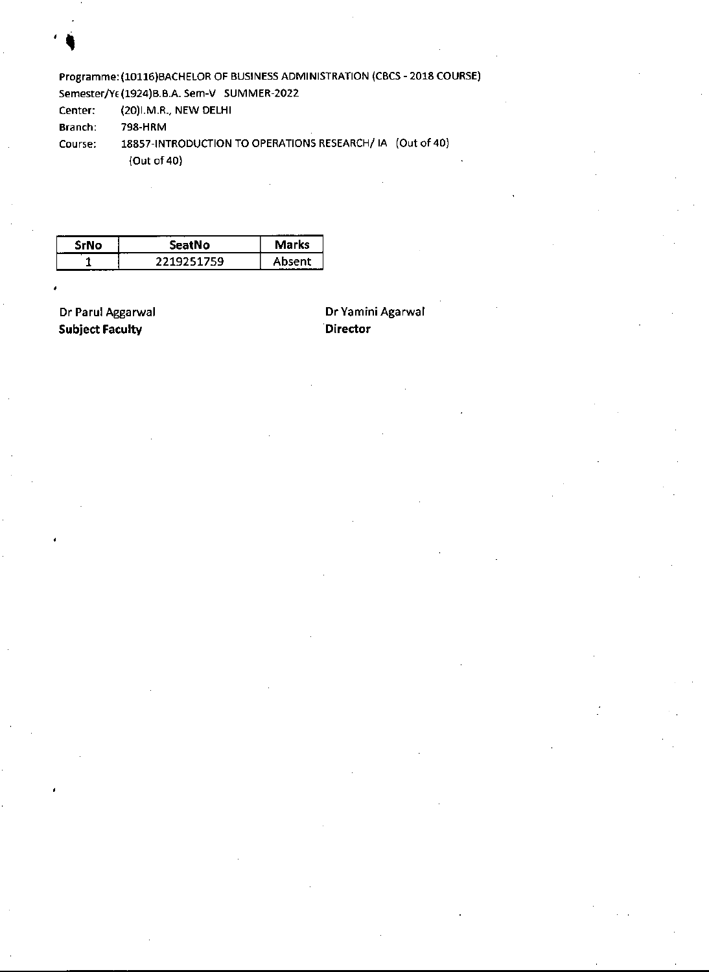Programme: (10116)BACHELOR OF BUSINESS ADMINISTRATION (CBCS -2018 COURSE) Semester/YE (1924)B.B.A. Sem-V SUMMER-2022

Center: (20)I.M.R., NEW DELHI

Branch: 798-HRM

Course: 18857-INTRODUCTION TO OPERATIONS RESEARCH/ IA (Out of 40)

(Out of 40)

| srrvo<br>. | seatNo     | <b>Marks</b> |
|------------|------------|--------------|
|            | 2219251759 | Ahsent       |

**Subject Faculty Contract Contract Contract Contract Contract Contract Contract Contract Contract Contract Contract Contract Contract Contract Contract Contract Contract Contract Contract Contract Contract Contract Contrac** 

Dr Parul Aggarwal **Dr** Yamini Agarwal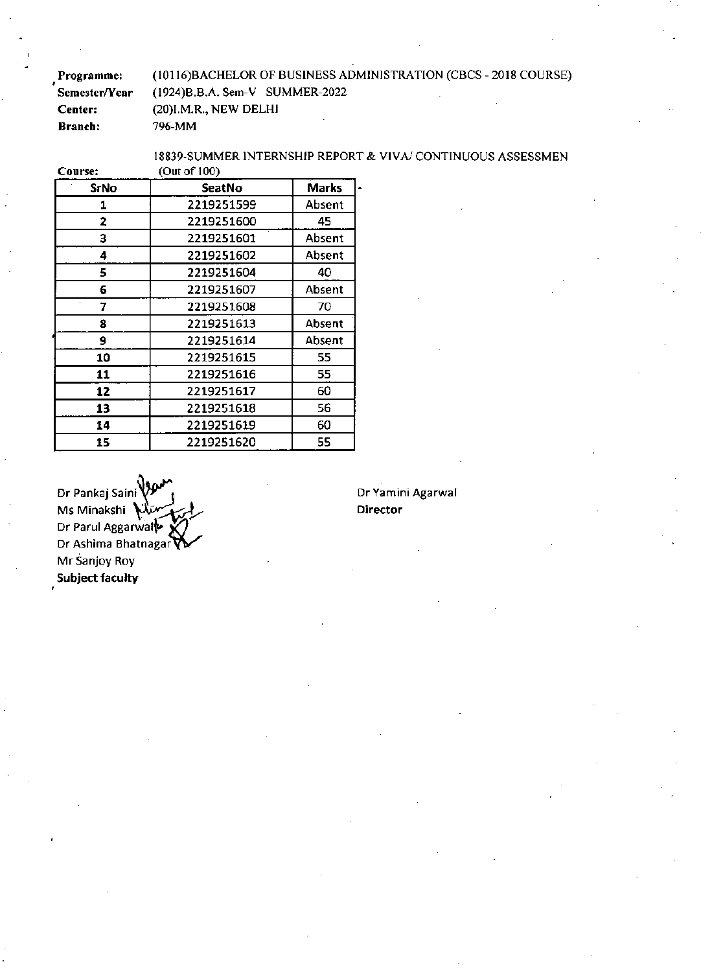Programme: Semester/Year Center: Branch: (10116)BACHELOR OF BUSINESS ADMINISTRATION (CBCS -2018 COURSE) (1924)B.B.A. Sem-V SUMMER-2022 (20)I.M.R., NEW DELHI 796-MM

Course:

I8839-SUMMER INTERNSHIP REPORT & VIVA/ CONTINUOUS ASSESSMEN (Out of 100)

|             | ,             |              |
|-------------|---------------|--------------|
| <b>SrNo</b> | <b>SeatNo</b> | <b>Marks</b> |
| 1           | 2219251599    | Absent       |
| 2           | 2219251600    | 45           |
| 3           | 2219251601    | Absent       |
| 4           | 2219251602    | Absent       |
| 5.          | 2219251604    | 40           |
| 6           | 2219251607    | Absent       |
| 7           | 2219251608    | 70           |
| 8           | 2219251613    | Absent       |
| 9           | 2219251614    | Absent       |
| 10          | 2219251615    | 55           |
| 11          | 2219251616    | 55           |
| 12          | 2219251617    | 60           |
| 13          | 2219251618    | 56           |
| 14          | 2219251619    | 60           |
| 15          | 2219251620    | 55           |

Dr Pankaj Saini  $\bigvee_{\mathfrak{b}} \bigvee_{\mathfrak{b}}$  (Dr Yamini Agarwal Ms Minakshi **Director**  Dr Parul Aggarwall Dr Ashima Bhatnagar Mr Sanjay Roy **Subject faculty**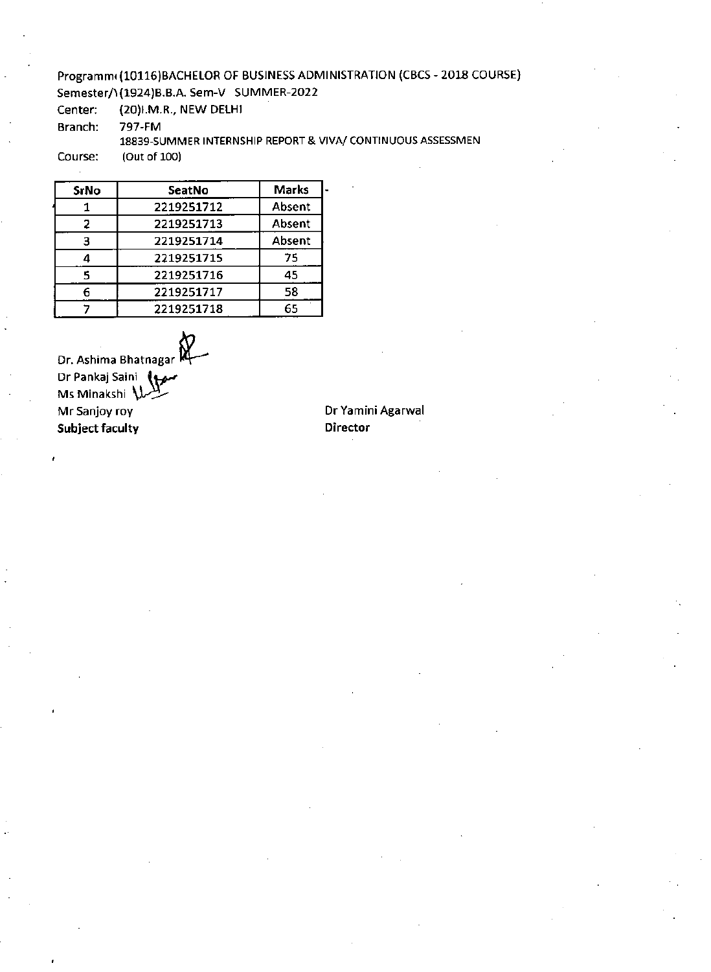## Programmi (10116)BACHELOR OF BUSINESS ADMINISTRATION (CBCS - 2018 COURSE) Semester/ (1924) B.B.A. Sem-V SUMMER-2022

Center: (20)I.M.R., NEW DELHI

Branch: 797-FM

### 18839-SUMMER INTERNSHIP REPORT & VIVA/ CONTINUOUS ASSESSMEN

Course: (Out of 100)

 $\ddot{\phantom{a}}$ 

| SrNo | SeatNo     | <b>Marks</b> |
|------|------------|--------------|
|      | 2219251712 | Absent       |
| 2    | 2219251713 | Absent       |
| 3    | 2219251714 | Absent       |
|      | 2219251715 | 75           |
| ς    | 2219251716 | 45           |
|      | 2219251717 | 58           |
|      | 2219251718 | 65           |

Dr. Ashima Bhatnagar k". Dr Pankaj Saini (1 Ms Minakshi U Mr Sanjoy roy **Dr Yamini Agarwal Subject faculty and the contract of the Contract of Contract of the Director**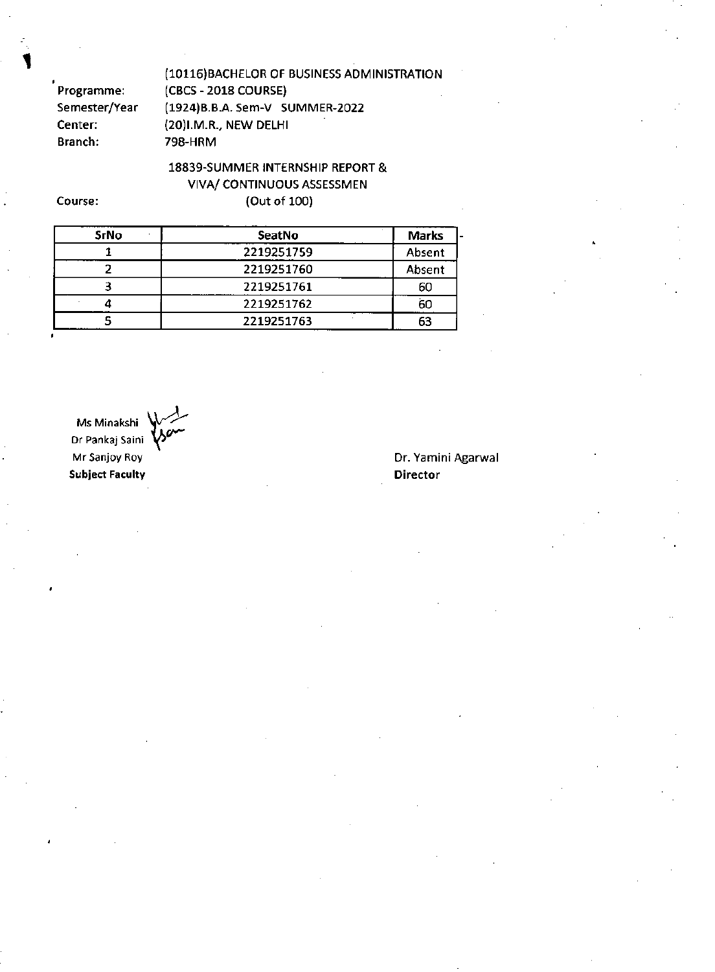.<br>Programme: Semester/Year Center: Branch:

(10116)BACHELOR OF BUSINESS ADMINISTRATION (CBCS -2018 COURSE) (1924)B.B.A. Sem-V SUMMER-2022 (20)I.M.R., NEW DELHI 798-HRM

18839-SUMMER INTERNSHIP REPORT & VIVA/ CONTINUOUS ASSESSMEN (Out of 100)

Course:

| <b>SrNo</b> | SeatNo     | <b>Marks</b> |
|-------------|------------|--------------|
|             | 2219251759 | Absent       |
|             | 2219251760 | Absent       |
|             | 2219251761 | 60           |
|             | 2219251762 | 60           |
|             | 2219251763 | 63           |

Ms Minakshi Dr Pankaj Saini Mr Sanjoy Roy **Subject Faculty** 

#### Dr. Yamini Agarwal **Director**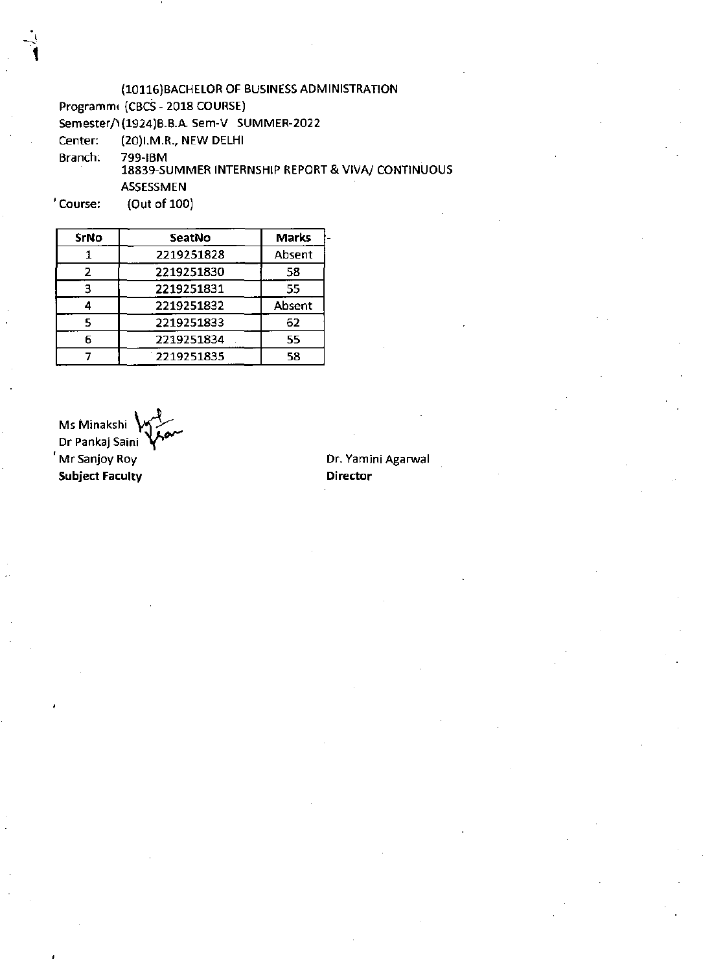(10116)BACHELOR OF BUSINESS ADMINISTRATION

Programmt (CBCS - 2018 COURSE)

Semester/ \(1924) B.B.A. Sem-V SUMMER-2022

Center: (20)I.M.R., NEW DELHI

Branch: 799-IBM

18839-SUMMER INTERNSHIP REPORT & VIVA/ CONTINUOUS ASSESSMEN

Course: (Out of 100)

| SeatNo     | <b>Marks</b> |
|------------|--------------|
| 2219251828 | Absent       |
| 2219251830 | 58           |
| 2219251831 | 55           |
| 2219251832 | Absent       |
| 2219251833 | 62           |
| 2219251834 | 55           |
| 2219251835 | 58           |
|            |              |

Ms Minakshi Dr Pankaj Saini Mr Sanjoy Roy **Subject Faculty** 

**Dr.** Yamini Agarwa I **Director**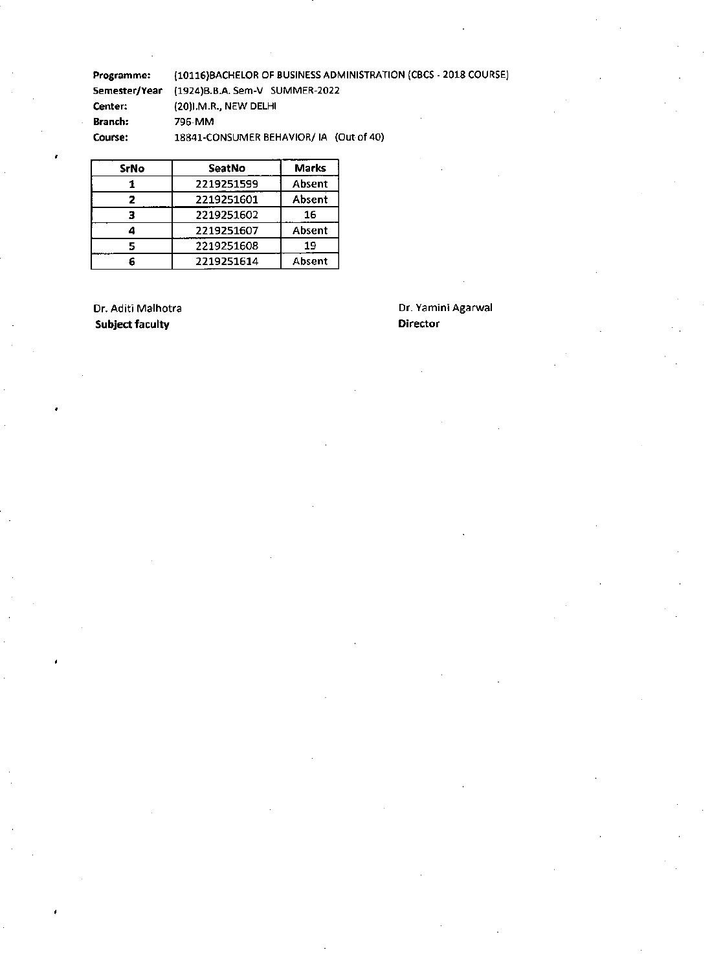Programme: (10116)BACHELOR OF BUSINESS ADMINISTRATION (CBCS -2018 COURSE) Semester/Year (1924)B.B.A.Sem-V SUMMER-2022 Center: (20)I.M.R., NEW DELHI Branch: 796-MM Course: 18841-CONSUMER BEHAVIOR/ IA (Out of 40)

| <b>SrNo</b> | <b>SeatNo</b> | <b>Marks</b> |
|-------------|---------------|--------------|
|             | 2219251599    | Absent       |
|             | 2219251601    | Absent       |
|             | 2219251602    | 16           |
|             | 2219251607    | Absent       |
|             | 2219251608    | 19           |
|             | 2219251614    | Absent       |

**Subject faculty** 

# Dr. Aditi Malhotra **Dr. Yamini Agarwal**<br>
Subject faculty **Director Director**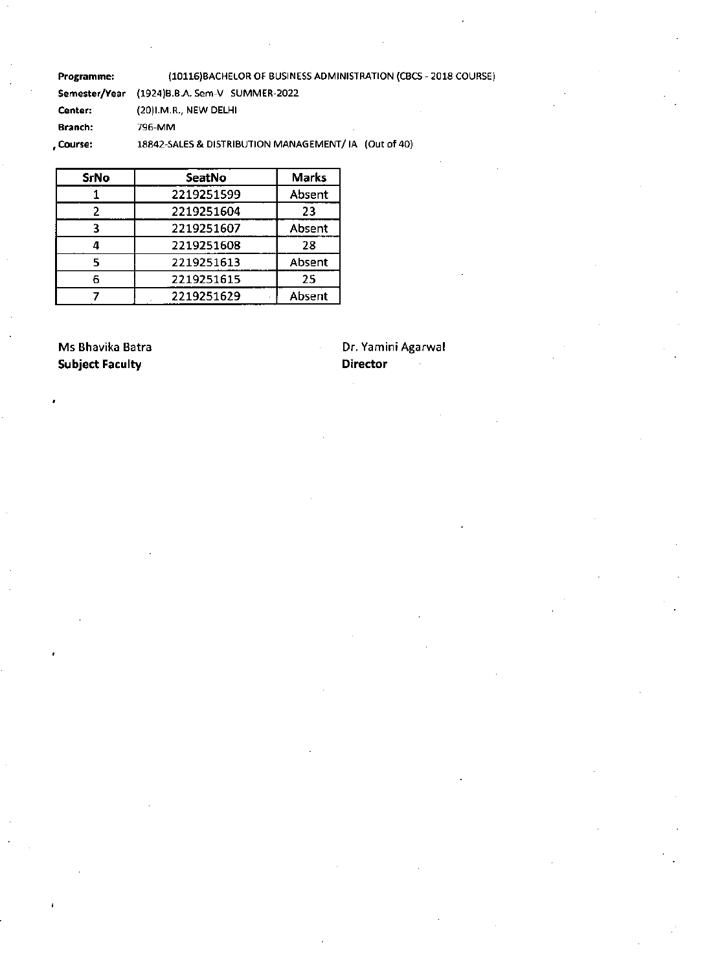Programme: (10116)BACHELOR OF BUSINESS ADMINISTRATION (CBC5 -2018 COURSE) Semester/Year (1924)B.B.A. Sem-V SUMMER-2022 Center: (20)I.M.R., NEW DELHI Branch: 796-MM ,Course: 18842-SALES & DISTRIBUTION MANAGEMENT/ IA (Out of 40)

**SrNo SeatNo Marks**  1 2219251599 Absent 2 2219251604 23 3 2219251607 Absent **4** 2219251608 28 5 2219251613 Absent 6 2219251615 25 7 2219251629 Absent

**Subject Faculty Director Acts and Director Acts and Director** 

Ms Bhavika Batra **Dr. Yamini Agarwal**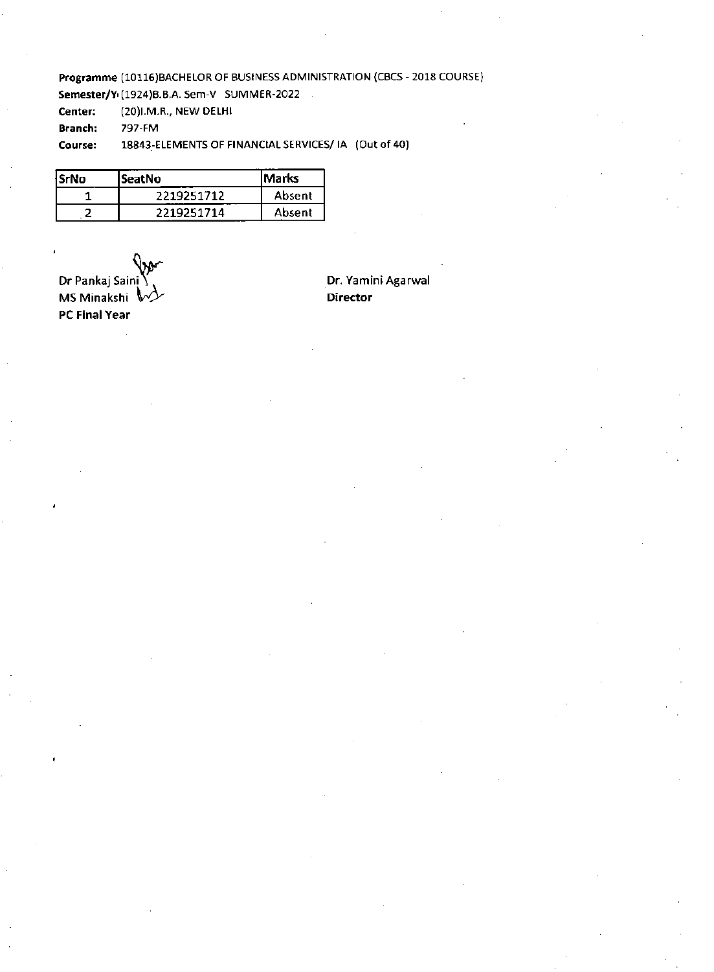Programme (10116)BACHELOR OF BUSINESS ADMINISTRATION (CBCS -2018 COURSE)

Semester/Y<sub>1</sub>(1924)B.B.A. Sem-V SUMMER-2022

Center: (20)I.M.R., NEW DELHI

Branch: 797-FM

Course: 18843-ELEMENTS OF FINANCIAL SERVICES/ IA (Out of 40)

| SrNo | lSeatNo    | lMarks |
|------|------------|--------|
|      | 2219251712 | Absent |
|      | 2219251714 | Absent |

Dr Pankaj Saini  $\bigvee^V$ <br>
MS Minakshi  $\bigvee^V$ MS Minakshi %PO' **Director PC Final Year**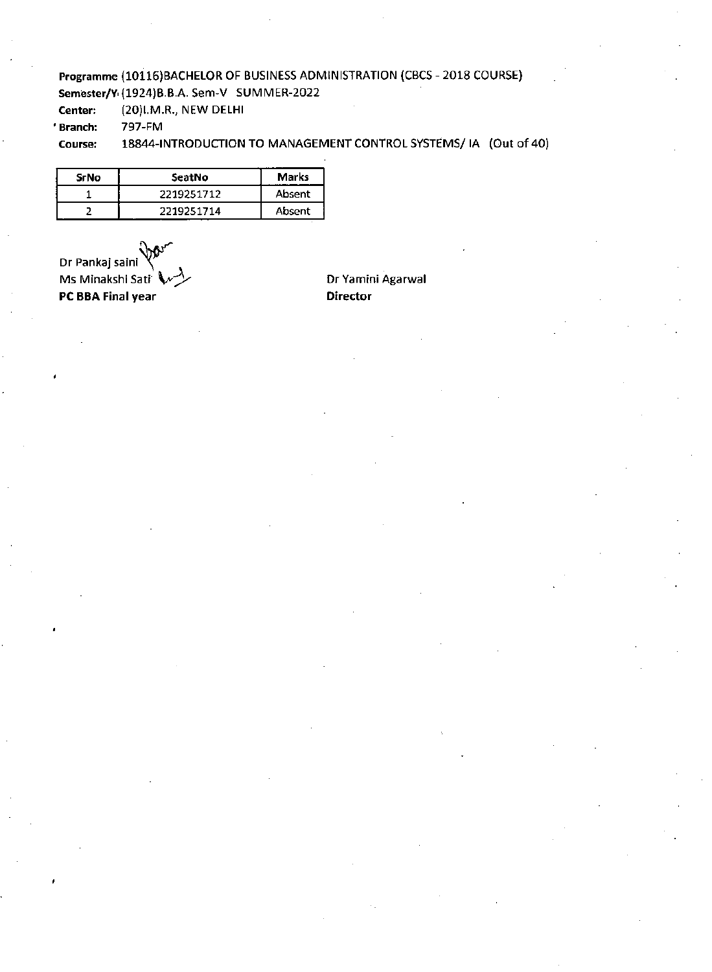# Programme (10116)BACHELOR OF BUSINESS ADMINISTRATION (CBCS -2018 COURSE)

Semester/Y (1924)8.8.A. Sem-V SUMMER-2022

Center: (20)I.M.R., NEW DELHI

'Branch: 797-FM

#### Course: 18844-INTRODUCTION TO MANAGEMENT CONTROL SYSTEMS/ IA (Out of 40)

| <b>SrNo</b> | SeatNo     | <b>Marks</b> |
|-------------|------------|--------------|
|             | 2219251712 | Absent       |
|             | 2219251714 | Absent       |

Dr Pankaj saini Ms Minakshi Sati **-31** Dr Yamini Agarwal PC BBA Final year Director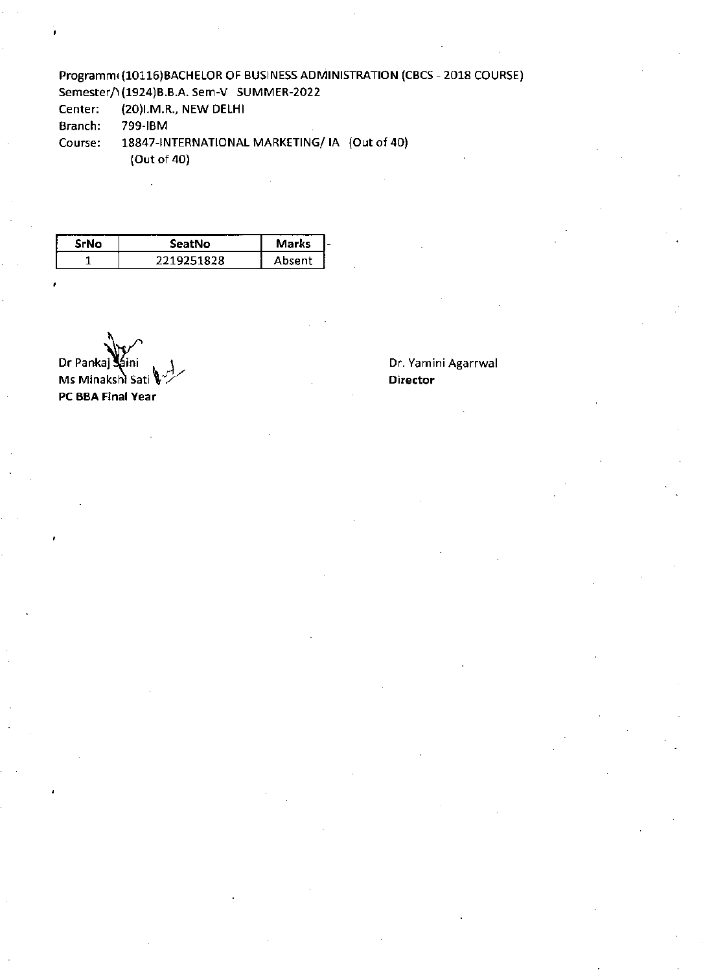### Programm(10116)BACHELOR OF BUSINESS ADMINISTRATION (CBCS - 2018 COURSE) Semester/1(1924)B.B.A. Sem-V SUMMER-2022

Center: (20)I.M.R., NEW DELHI

Branch: 799-IBM

Course: 18847-INTERNATIONAL MARKETING/ IA (Out of 40) (Out of 40)

| <b>SrNo</b> | SeatNo     | <b>Marks</b> |  |
|-------------|------------|--------------|--|
|             | 2219251828 | Ahsent       |  |

Dr Panka Ms Minakshi Sati **PC BBA Final Year** 

#### Dr. Yamini Agarrwal **Director**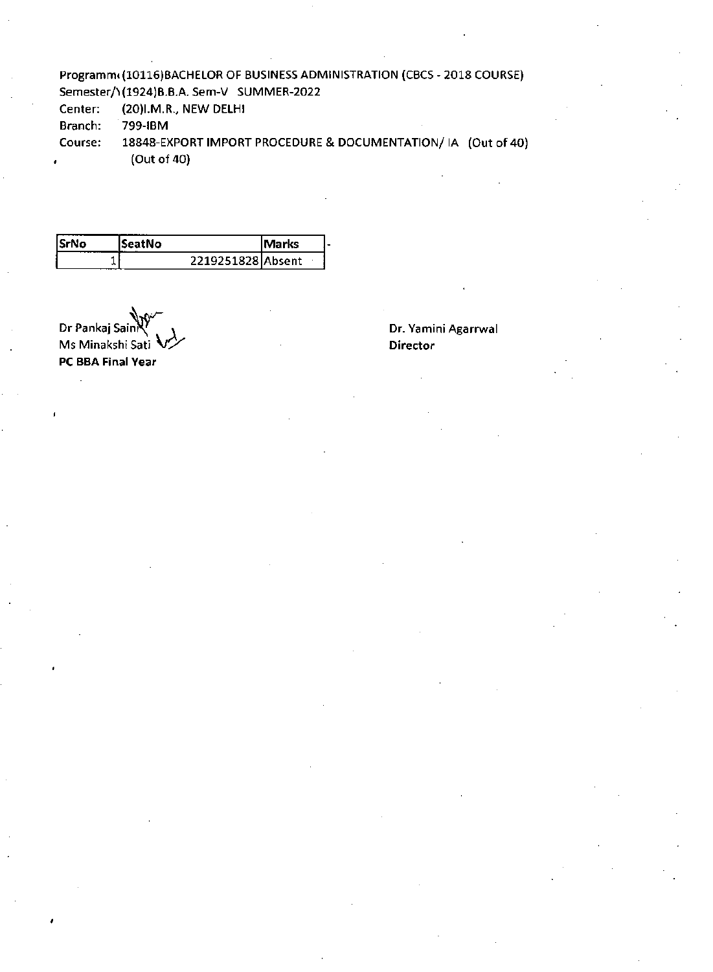### Programm(10116)BACHELOR OF BUSINESS ADMINISTRATION (CBCS - 2018 COURSE) Semester/1 (1924)B.B.A. Sem-V SUMMER-2022

Center: (20)I.M.R. NEW DELHI

Branch: 799-IBM

Course: 18848-EXPORT IMPORT PROCEDURE & DOCUMENTATION/ IA (Out of **40) (Out** of 40)

| <b>SrNo</b> | ISeatNo           | lMarks |  |
|-------------|-------------------|--------|--|
|             | 2219251828 Absent |        |  |

Dr Pankaj Sain Ms Minakshi Sati  $\sqrt{4}$ **PC BRA Final Year** 

#### **Dr. Yamini Agarrwal Director**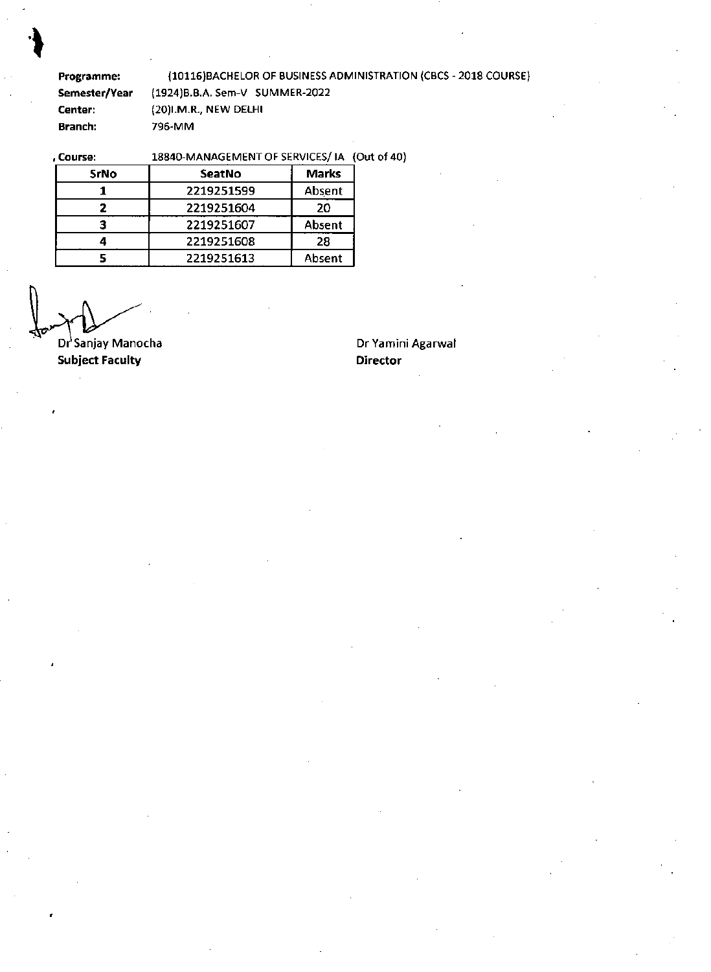**Programme:** (10116)BACHELOR OF BUSINESS ADMINISTRATION (CBCS -2018 COURSE) **Semester/Year** (1924)B.B.A. Sem-V SUMMER-2022 **Center: (20)I.M.R., NEW DELHI Branch:** 796-MM

# , Course: 18840-MANAGEMENT OF SERVICES/ IA (Out of 40)

| SrNo | <b>SeatNo</b> | <b>Marks</b> |
|------|---------------|--------------|
|      | 2219251599    | Absent       |
|      | 2219251604    | 20           |
|      | 2219251607    | Absent       |
|      | 2219251608    | 28           |
|      | 2219251613    | Absent       |

**Subject Faculty Dr**<sup>3</sup>Sanjay Manocha **Dr Yamini Agarwal Director**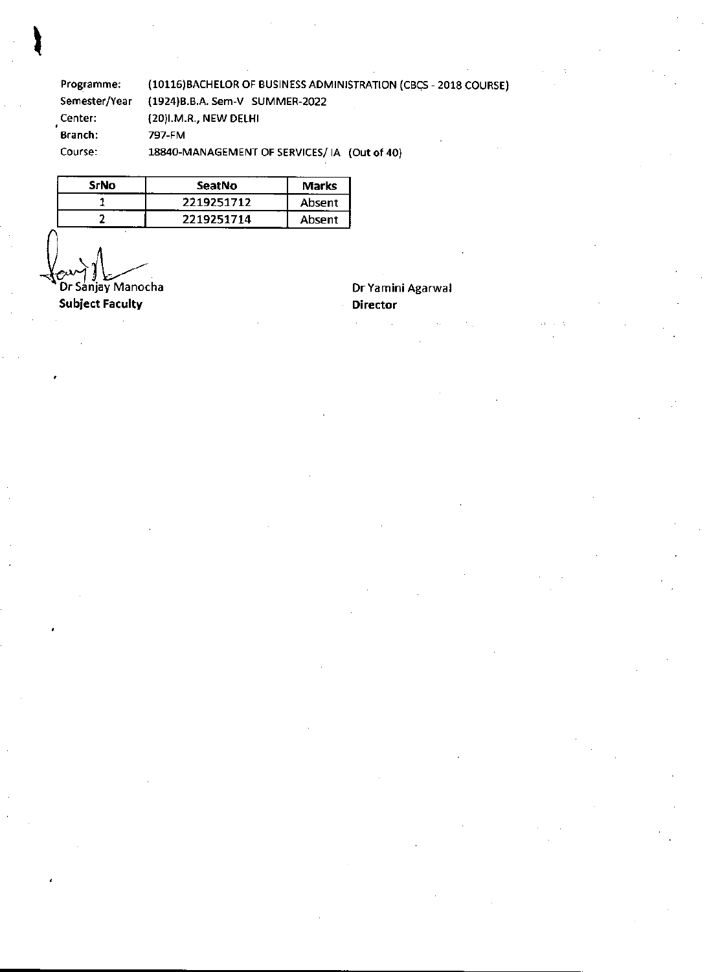Programme: (10116)BACHELOR OF BUSINESS ADMINISTRATION (CBCS - 2018 COURSE)<br>Semester/Year (1924)B.B.A. Sem-V SUMMER-2022 (1924)B.B.A. Sem-V SUMMER-2022 Center:<br>Branch: (20)I.M.R., NEW DELHI Branch: 797-FM Course: 18840-MANAGEMENT OF SERVICES/ IA (Out of 40)

| SrNo | SeatNo     | <b>Marks</b> |
|------|------------|--------------|
|      | 2219251712 | Absent       |
|      | 2219251714 | Absent       |

Dr Sanjay Manocha

Subject Faculty

Dr Yamini Agarwal Director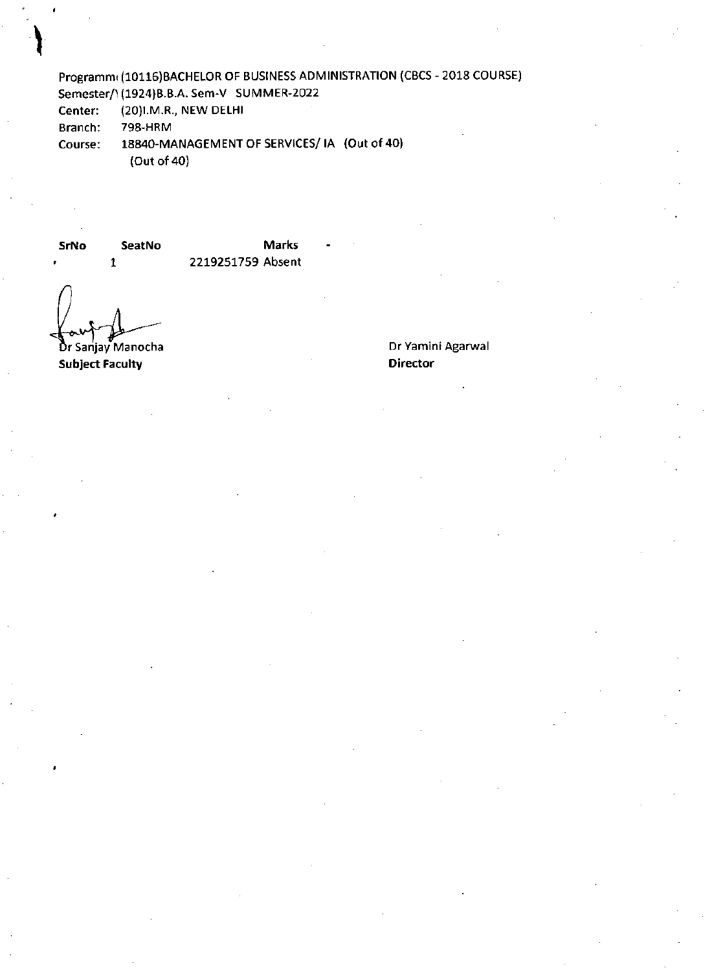Programm (10116)BACHELOR OF BUSINESS ADMINISTRATION (CBCS -2018 COURSE) Semester/1(1924)B.B.A. Sem-V SUMMER-2022

Center: (20)I.M.R., NEW DELHI

Branch: 798-HRM

Course: 18840-MANAGEMENT OF SERVICES/ IA (Out of 40) (Out of 40)

**SrNo SeatNo** 

**Marks** - 2219251759 Absent

Dr Sanjay Manocha

**1** 

**Subject Faculty** 

#### Dr Yamini Agarwal **Director**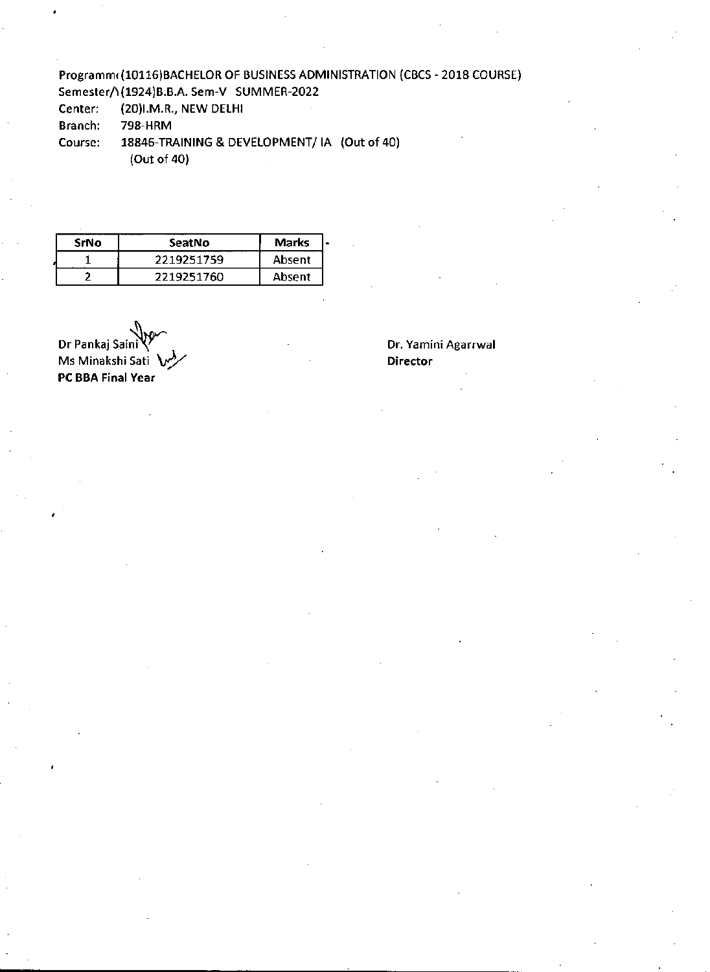# Programm(10116)BACHELOR OF BUSINESS ADMINISTRATION (CBCS - 2018 COURSE)

Semester/1(1924)B.B.A. Sem-V SUMMER-2022

Center: (20)I.M.R., NEW DELHI

Branch: 798-HRM

Course: 18846-TRAINING & DEVELOPMENT/ IA (Out of 40) (Out of 40)

| SrNo | SeatNo     | <b>Marks</b> |
|------|------------|--------------|
|      | 2219251759 | Absent       |
|      | 2219251760 | Absent       |

Dr Pankaj Saini $V^r$  de la contractivitative de la contractivitative de la contractivitative de la contractivitative de la contractivitative de la contractivitative de la contractivitative de la contractivitative de la con Ms Minakshi Sati **W PC BBA Final Year**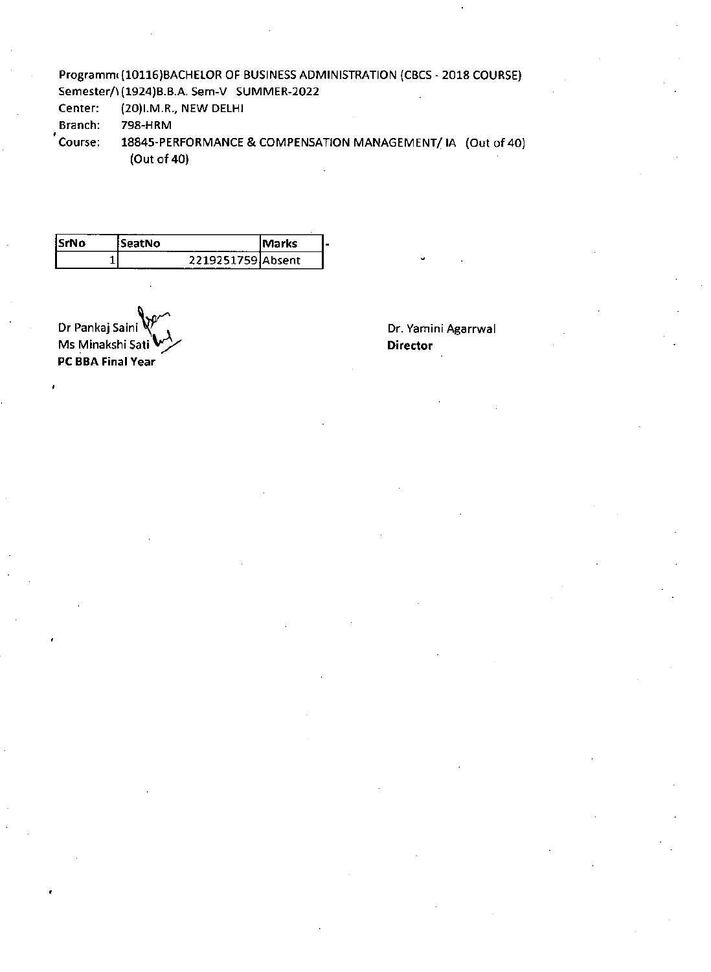# Programm(10116)BACHELOR OF BUSINESS ADMINISTRATION (CBCS - 2018 COURSE)

Semester/)(1924)B.B.A. Sem-V SUMMER-2022

Center: (20)I.M.R., NEW DELHI

Branch: 798-HRM

Course: 18845-PERFORMANCE & COMPENSATION MANAGEMENT/ IA (Out of 40) (Out of 40)

| 'SrNo | :SeatNo<br>.      | lMarks |
|-------|-------------------|--------|
|       | 2219251759 Absent |        |

Dr Pankaj Saini Ms Minakshi Sati r), **PC BBA Final Year** 

Dr. Yamini Agarrwal **Director**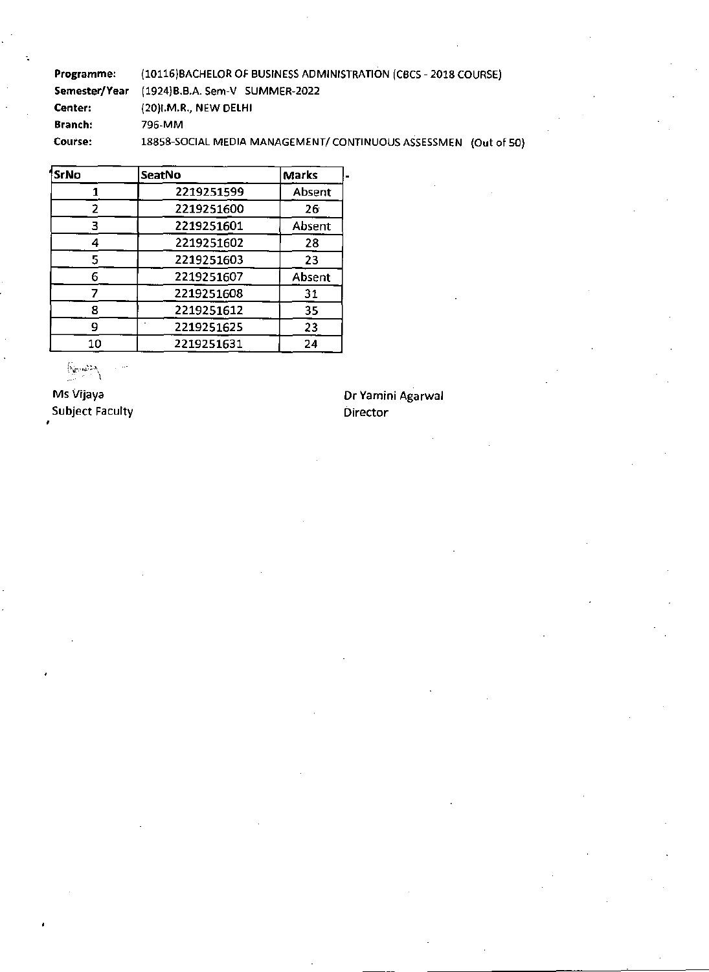Programme: (10116)BACHELOR OF BUSINESS ADMINISTRATION (CBCS -2018 COURSE) Semester/Year (1924)B.B.A. Sem-V SUMMER-2022 Center: (20)I.M.R., NEW DELHI Branch: 796-MM Course: 18858-SOCIAL MEDIA MANAGEMENT/ CONTINUOUS ASSESSMEN (Out of 50)

| SrNo | SeatNo     | <b>Marks</b> |
|------|------------|--------------|
|      | 2219251599 | Absent       |
| フ    | 2219251600 | 26           |
| З    | 2219251601 | Absent       |
|      | 2219251602 | 28           |
|      | 2219251603 | 23           |
| 6    | 2219251607 | Absent       |
|      | 2219251608 | 31           |
| Զ    | 2219251612 | 35           |
| q    | 2219251625 | 23           |
| 10   | 2219251631 | 24           |

Subject Faculty **Director** Director

Ms Vijaya Dr Yamini Agarwal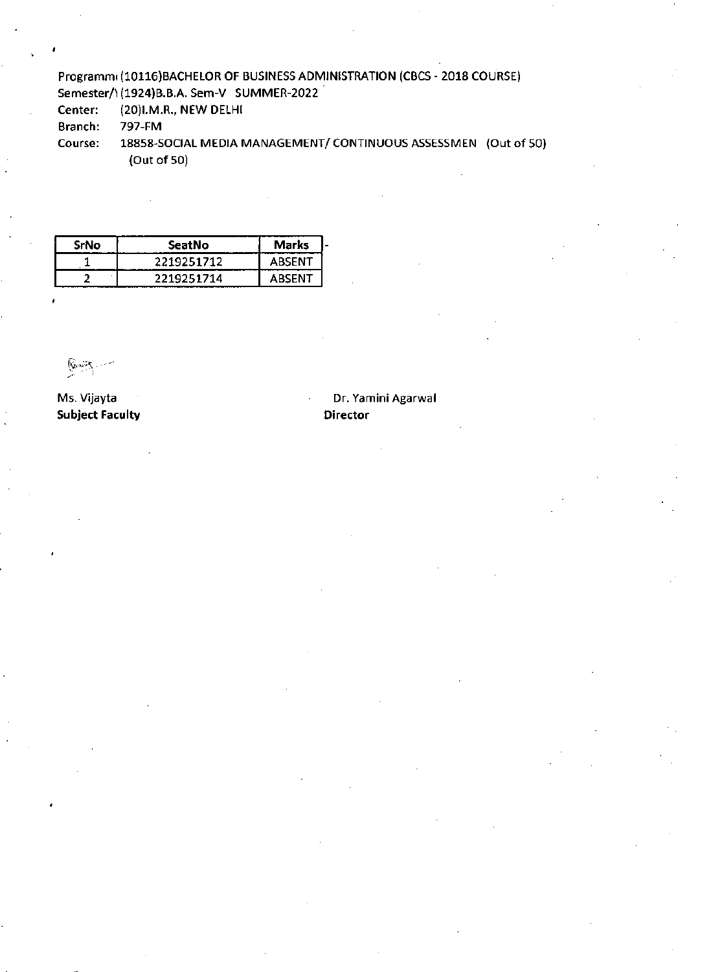### Programm(10116)BACHELOR OF BUSINESS ADMINISTRATION (CBCS - 2018 COURSE) Semester/\(1924)B.B.A. Sem-V SUMMER-2022

Center: (20)I.M.R., NEW DELHI

Branch: 797-FM

Course: 18858-SOCIAL MEDIA MANAGEMENT/ CONTINUOUS ASSESSMEN (Out of 50) (Out of 50)

| SrNo | SeatNo     | Marks  |  |
|------|------------|--------|--|
|      | 2219251712 | ABSENT |  |
|      | 2219251714 | ABSENT |  |

 $\mathbb{R}$  in  $\mathbb{R}$ 

**Subject Faculty Director Acts and Director Acts and Director** 

# Ms. Vijayta Dr. Yamini Agarwal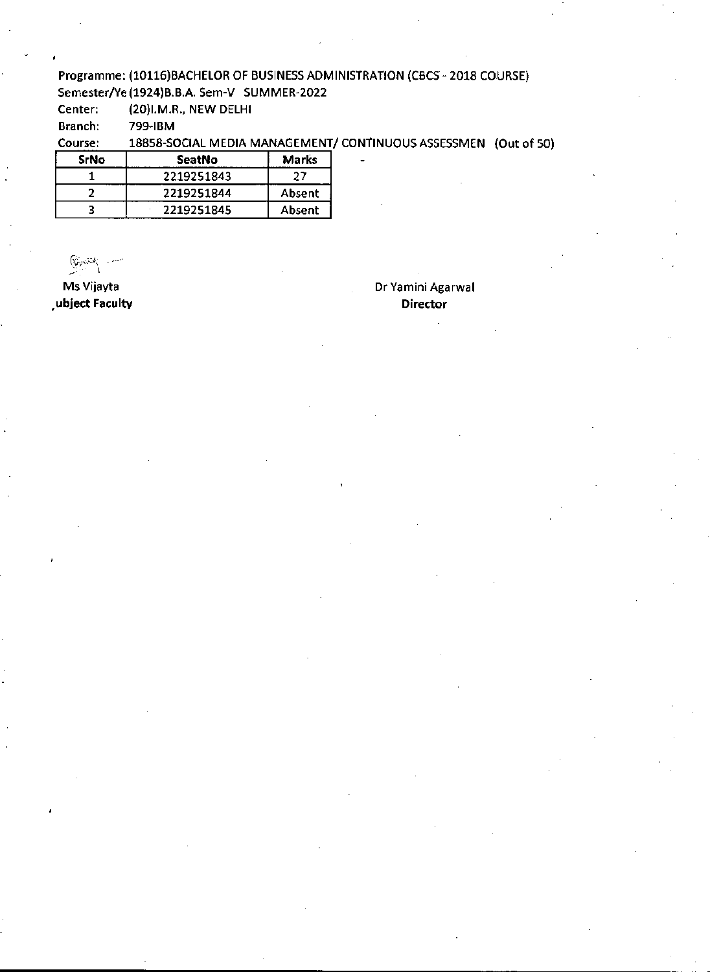#### Programme: (10116)BACHELOR OF BUSINESS ADMINISTRATION (CBCS -2018 COURSE) Semester/Ye (1924)B.B.A. Sem-V SUMMER-2022

Center: (20)I.M.R., NEW DELHI

Branch: 799-IBM

Course: 18858-SOCIAL MEDIA MANAGEMENT/ CONTINUOUS ASSESSMEN (Out of 50)

| SrNo | SeatNo     | <b>Marks</b> |
|------|------------|--------------|
|      | 2219251843 | 27           |
|      | 2219251844 | Absent       |
|      | 2219251845 | Absent       |

ြက္ေ

**ubject Faculty Director** 

Ms Vijayta Dr Yamini Agarwal